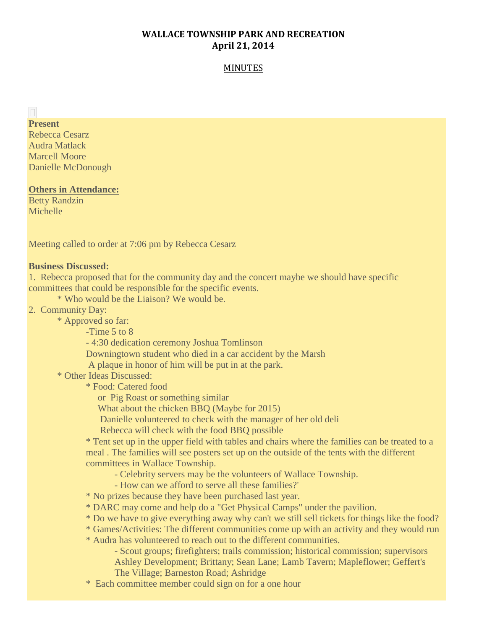# **WALLACE TOWNSHIP PARK AND RECREATION April 21, 2014**

## MINUTES

#### $\mathbb{H}^+$ **Present**

Rebecca Cesarz Audra Matlack Marcell Moore Danielle McDonough

## **Others in Attendance:**

Betty Randzin Michelle

Meeting called to order at 7:06 pm by Rebecca Cesarz

#### **Business Discussed:**

1. Rebecca proposed that for the community day and the concert maybe we should have specific committees that could be responsible for the specific events.

\* Who would be the Liaison? We would be.

2. Community Day:

\* Approved so far:

-Time 5 to 8

- 4:30 dedication ceremony Joshua Tomlinson

Downingtown student who died in a car accident by the Marsh

A plaque in honor of him will be put in at the park.

\* Other Ideas Discussed:

\* Food: Catered food

or Pig Roast or something similar

What about the chicken BBQ (Maybe for 2015)

Danielle volunteered to check with the manager of her old deli

Rebecca will check with the food BBQ possible

\* Tent set up in the upper field with tables and chairs where the families can be treated to a meal . The families will see posters set up on the outside of the tents with the different committees in Wallace Township.

- Celebrity servers may be the volunteers of Wallace Township.

- How can we afford to serve all these families?'

\* No prizes because they have been purchased last year.

\* DARC may come and help do a "Get Physical Camps" under the pavilion.

\* Do we have to give everything away why can't we still sell tickets for things like the food?

\* Games/Activities: The different communities come up with an activity and they would run

\* Audra has volunteered to reach out to the different communities.

- Scout groups; firefighters; trails commission; historical commission; supervisors

Ashley Development; Brittany; Sean Lane; Lamb Tavern; Mapleflower; Geffert's

The Village; Barneston Road; Ashridge

\* Each committee member could sign on for a one hour